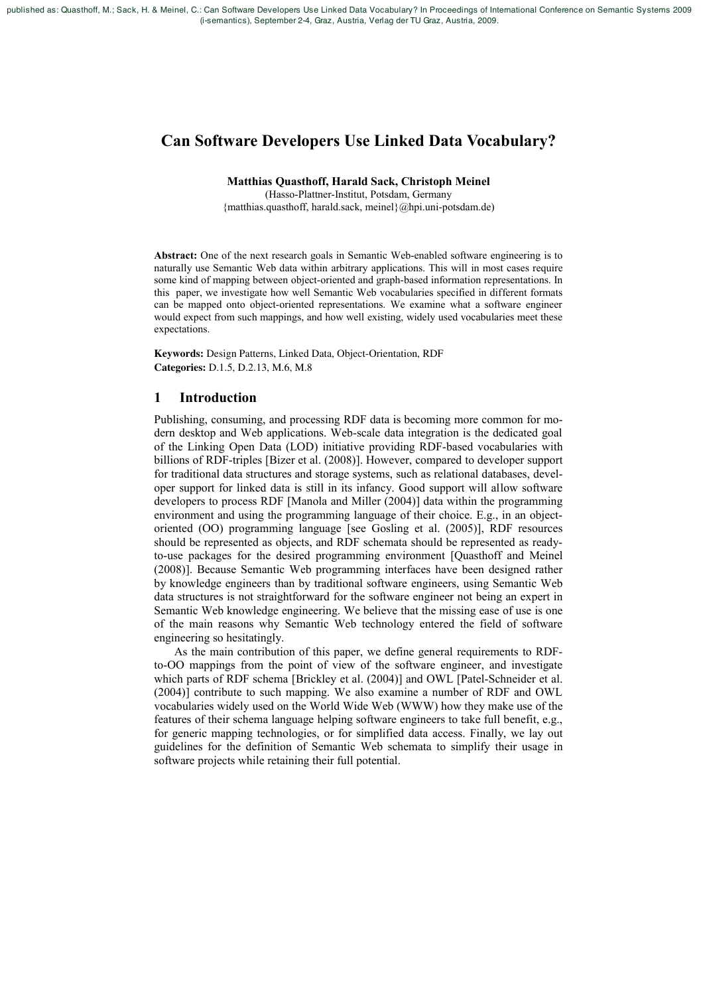published as: Quasthoff, M.; Sack, H. & Meinel, C.: Can Software Developers Use Linked Data Vocabulary? In Proceedings of International Conference on Semantic Systems 2009 (i-semantics), September 2-4, Graz, Austria, Verlag der TU Graz, Austria, 2009.

# **Can Software Developers Use Linked Data Vocabulary?**

# **Matthias Quasthoff, Harald Sack, Christoph Meinel**

(Hasso-Plattner-Institut, Potsdam, Germany {matthias.quasthoff, harald.sack, meinel}@hpi.uni-potsdam.de)

**Abstract:** One of the next research goals in Semantic Web-enabled software engineering is to naturally use Semantic Web data within arbitrary applications. This will in most cases require some kind of mapping between object-oriented and graph-based information representations. In this paper, we investigate how well Semantic Web vocabularies specified in different formats can be mapped onto object-oriented representations. We examine what a software engineer would expect from such mappings, and how well existing, widely used vocabularies meet these expectations

Keywords: Design Patterns, Linked Data, Object-Orientation, RDF Categories: D.1.5, D.2.13, M.6, M.8

# $\blacksquare$ **Introduction**

Publishing, consuming, and processing RDF data is becoming more common for modern desktop and Web applications. Web-scale data integration is the dedicated goal of the Linking Open Data (LOD) initiative providing RDF-based vocabularies with billions of RDF-triples [Bizer et al. (2008)]. However, compared to developer support for traditional data structures and storage systems, such as relational databases, developer support for linked data is still in its infancy. Good support will allow software developers to process RDF [Manola and Miller (2004)] data within the programming environment and using the programming language of their choice. E.g., in an objectoriented (OO) programming language [see Gosling et al. (2005)], RDF resources should be represented as objects, and RDF schemata should be represented as readyto-use packages for the desired programming environment [Quasthoff and Meinel (2008)]. Because Semantic Web programming interfaces have been designed rather by knowledge engineers than by traditional software engineers, using Semantic Web data structures is not straightforward for the software engineer not being an expert in Semantic Web knowledge engineering. We believe that the missing ease of use is one of the main reasons why Semantic Web technology entered the field of software engineering so hesitatingly.

As the main contribution of this paper, we define general requirements to RDFto-OO mappings from the point of view of the software engineer, and investigate which parts of RDF schema [Brickley et al. (2004)] and OWL [Patel-Schneider et al. (2004)] contribute to such mapping. We also examine a number of RDF and OWL vocabularies widely used on the World Wide Web (WWW) how they make use of the features of their schema language helping software engineers to take full benefit, e.g., for generic mapping technologies, or for simplified data access. Finally, we lay out guidelines for the definition of Semantic Web schemata to simplify their usage in software projects while retaining their full potential.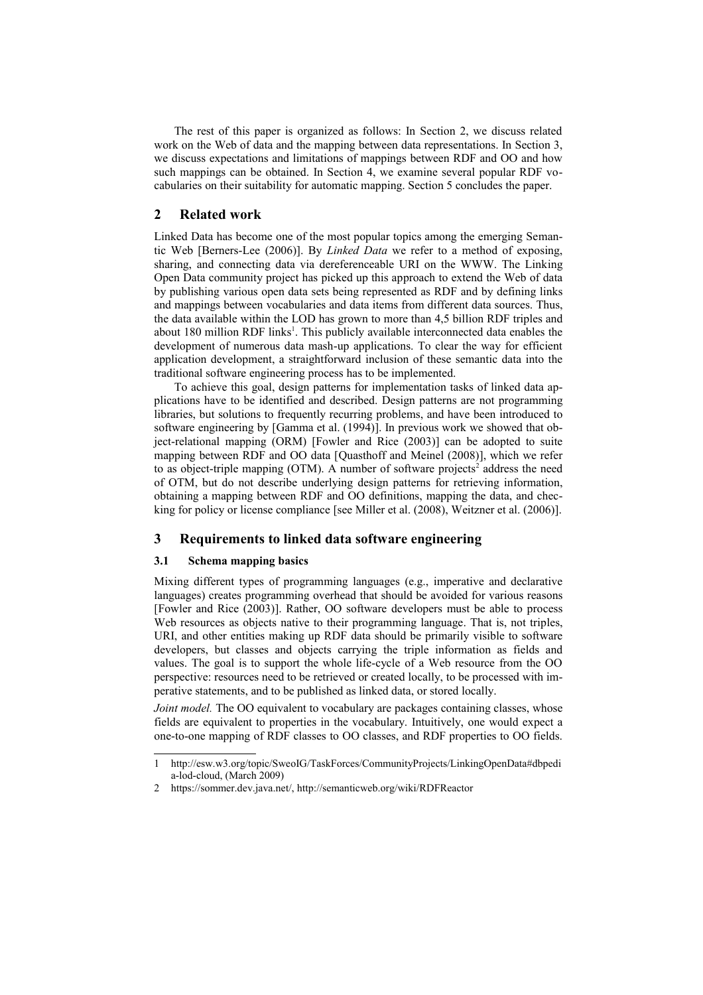The rest of this paper is organized as follows: In Section 2, we discuss related work on the Web of data and the mapping between data representations. In Section 3, we discuss expectations and limitations of mappings between RDF and OO and how such mappings can be obtained. In Section 4, we examine several popular RDF vocabularies on their suitability for automatic mapping. Section 5 concludes the paper.

# $\overline{2}$ **Related work**

Linked Data has become one of the most popular topics among the emerging Semantic Web [Berners-Lee (2006)]. By *Linked Data* we refer to a method of exposing, sharing, and connecting data via dereferenceable URI on the WWW. The Linking Open Data community project has picked up this approach to extend the Web of data by publishing various open data sets being represented as RDF and by defining links and mappings between vocabularies and data items from different data sources. Thus, the data available within the LOD has grown to more than 4.5 billion RDF triples and about 180 million RDF links<sup>1</sup>. This publicly available interconnected data enables the development of numerous data mash-up applications. To clear the way for efficient application development, a straightforward inclusion of these semantic data into the traditional software engineering process has to be implemented.

To achieve this goal, design patterns for implementation tasks of linked data applications have to be identified and described. Design patterns are not programming libraries, but solutions to frequently recurring problems, and have been introduced to software engineering by [Gamma et al. (1994)]. In previous work we showed that object-relational mapping (ORM) [Fowler and Rice (2003)] can be adopted to suite mapping between RDF and OO data [Quasthoff and Meinel (2008)], which we refer to as object-triple mapping (OTM). A number of software projects<sup>2</sup> address the need of OTM, but do not describe underlying design patterns for retrieving information, obtaining a mapping between RDF and OO definitions, mapping the data, and checking for policy or license compliance [see Miller et al. (2008), Weitzner et al. (2006)].

### 3 Requirements to linked data software engineering

#### $3.1$ Schema mapping basics

Mixing different types of programming languages (e.g., imperative and declarative languages) creates programming overhead that should be avoided for various reasons [Fowler and Rice (2003)]. Rather, OO software developers must be able to process Web resources as objects native to their programming language. That is, not triples, URI, and other entities making up RDF data should be primarily visible to software developers, but classes and objects carrying the triple information as fields and values. The goal is to support the whole life-cycle of a Web resource from the OO perspective: resources need to be retrieved or created locally, to be processed with imperative statements, and to be published as linked data, or stored locally.

Joint model. The OO equivalent to vocabulary are packages containing classes, whose fields are equivalent to properties in the vocabulary. Intuitively, one would expect a one-to-one mapping of RDF classes to OO classes, and RDF properties to OO fields.

<span id="page-1-0"></span>http://esw.w3.org/topic/SweoIG/TaskForces/CommunityProjects/LinkingOpenData#dbpedi  $\mathbf{1}$ a-lod-cloud, (March 2009)

<span id="page-1-1"></span> $\mathfrak{D}$ https://sommer.dev.java.net/, http://semanticweb.org/wiki/RDFReactor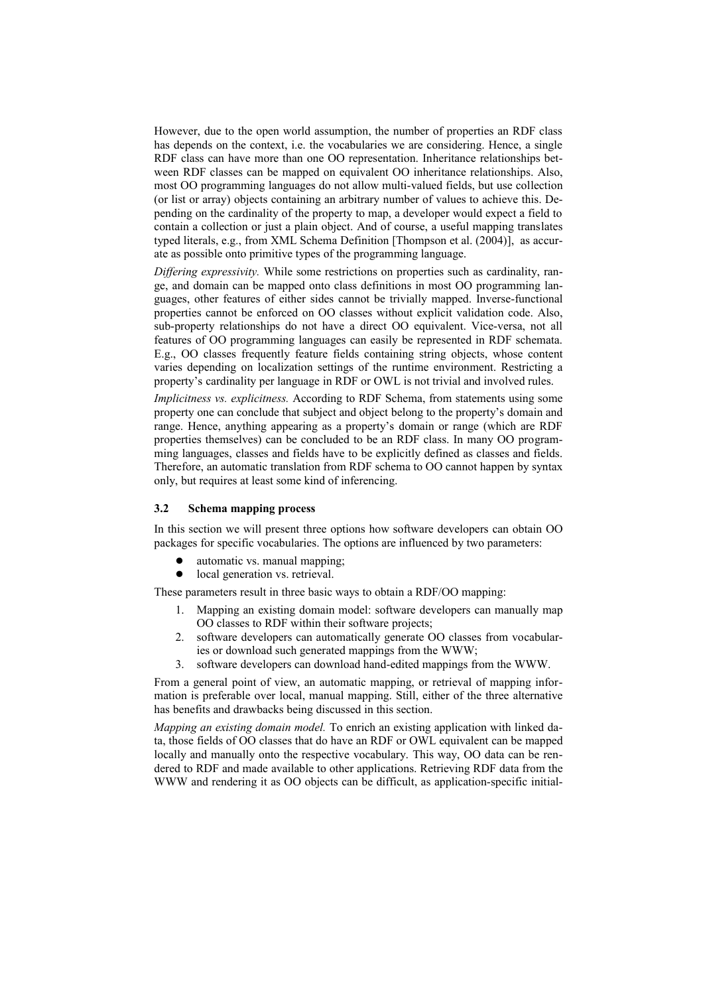However, due to the open world assumption, the number of properties an RDF class has depends on the context, i.e. the vocabularies we are considering. Hence, a single RDF class can have more than one OO representation. Inheritance relationships between RDF classes can be mapped on equivalent OO inheritance relationships. Also, most OO programming languages do not allow multi-valued fields, but use collection (or list or array) objects containing an arbitrary number of values to achieve this. Depending on the cardinality of the property to map, a developer would expect a field to contain a collection or just a plain object. And of course, a useful mapping translates typed literals, e.g., from XML Schema Definition [Thompson et al. (2004)], as accurate as possible onto primitive types of the programming language.

Differing expressivity. While some restrictions on properties such as cardinality, range, and domain can be mapped onto class definitions in most OO programming languages, other features of either sides cannot be trivially mapped. Inverse-functional properties cannot be enforced on OO classes without explicit validation code. Also, sub-property relationships do not have a direct OO equivalent. Vice-versa, not all features of OO programming languages can easily be represented in RDF schemata. E.g., OO classes frequently feature fields containing string objects, whose content varies depending on localization settings of the runtime environment. Restricting a property's cardinality per language in RDF or OWL is not trivial and involved rules.

*Implicitness vs. explicitness.* According to RDF Schema, from statements using some property one can conclude that subject and object belong to the property's domain and range. Hence, anything appearing as a property's domain or range (which are RDF properties themselves) can be concluded to be an RDF class. In many OO programming languages, classes and fields have to be explicitly defined as classes and fields. Therefore, an automatic translation from RDF schema to OO cannot happen by syntax only, but requires at least some kind of inferencing.

#### $3.2$ **Schema mapping process**

In this section we will present three options how software developers can obtain OO packages for specific vocabularies. The options are influenced by two parameters:

- $\bullet$ automatic vs. manual mapping;
- local generation vs. retrieval.

These parameters result in three basic ways to obtain a RDF/OO mapping:

- 1. Mapping an existing domain model: software developers can manually map OO classes to RDF within their software projects;
- $\overline{2}$ software developers can automatically generate OO classes from vocabularies or download such generated mappings from the WWW;
- $\mathcal{E}$ software developers can download hand-edited mappings from the WWW.

From a general point of view, an automatic mapping, or retrieval of mapping information is preferable over local, manual mapping. Still, either of the three alternative has benefits and drawbacks being discussed in this section.

Mapping an existing domain model. To enrich an existing application with linked data, those fields of OO classes that do have an RDF or OWL equivalent can be mapped locally and manually onto the respective vocabulary. This way, OO data can be rendered to RDF and made available to other applications. Retrieving RDF data from the WWW and rendering it as OO objects can be difficult, as application-specific initial-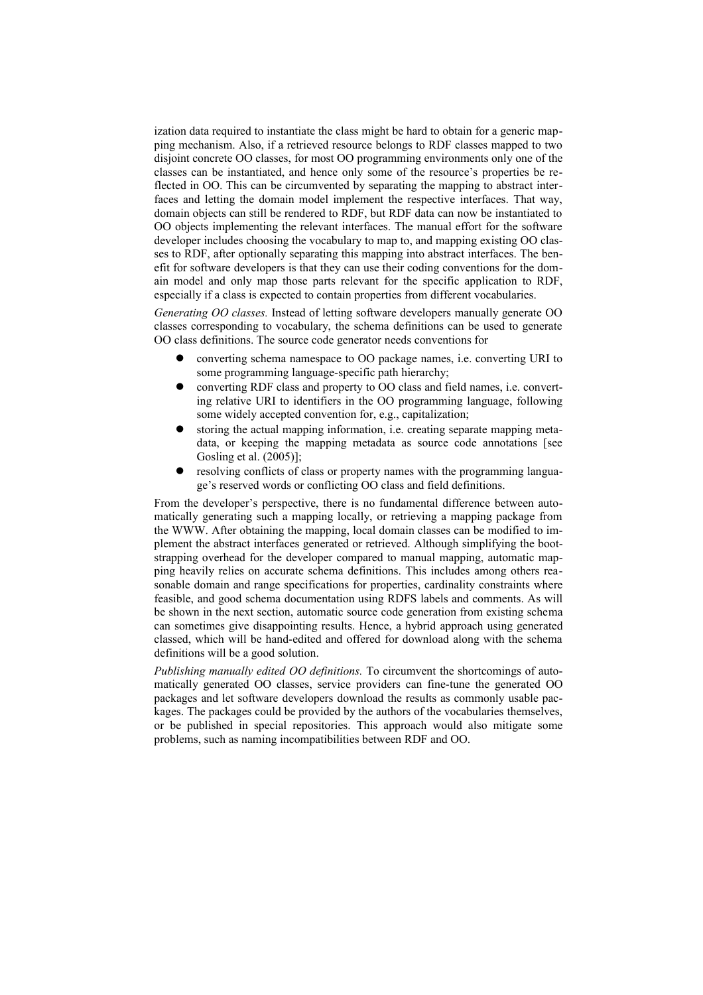ization data required to instantiate the class might be hard to obtain for a generic mapping mechanism. Also, if a retrieved resource belongs to RDF classes mapped to two disjoint concrete OO classes, for most OO programming environments only one of the classes can be instantiated, and hence only some of the resource's properties be reflected in OO. This can be circumvented by separating the mapping to abstract interfaces and letting the domain model implement the respective interfaces. That way, domain objects can still be rendered to RDF, but RDF data can now be instantiated to OO objects implementing the relevant interfaces. The manual effort for the software developer includes choosing the vocabulary to map to, and mapping existing OO classes to RDF, after optionally separating this mapping into abstract interfaces. The benefit for software developers is that they can use their coding conventions for the domain model and only map those parts relevant for the specific application to RDF, especially if a class is expected to contain properties from different vocabularies.

Generating OO classes. Instead of letting software developers manually generate OO classes corresponding to vocabulary, the schema definitions can be used to generate OO class definitions. The source code generator needs conventions for

- converting schema namespace to OO package names, i.e. converting URI to some programming language-specific path hierarchy;
- converting RDF class and property to OO class and field names, *i.e.* converting relative URI to identifiers in the OO programming language, following some widely accepted convention for, e.g., capitalization:
- storing the actual mapping information, *i.e.* creating separate mapping metadata, or keeping the mapping metadata as source code annotations [see Gosling et al. (2005)];
- resolving conflicts of class or property names with the programming language's reserved words or conflicting OO class and field definitions.

From the developer's perspective, there is no fundamental difference between automatically generating such a mapping locally, or retrieving a mapping package from the WWW. After obtaining the mapping, local domain classes can be modified to implement the abstract interfaces generated or retrieved. Although simplifying the bootstrapping overhead for the developer compared to manual mapping, automatic mapping heavily relies on accurate schema definitions. This includes among others reasonable domain and range specifications for properties, cardinality constraints where feasible, and good schema documentation using RDFS labels and comments. As will be shown in the next section, automatic source code generation from existing schema can sometimes give disappointing results. Hence, a hybrid approach using generated classed, which will be hand-edited and offered for download along with the schema definitions will be a good solution.

Publishing manually edited OO definitions. To circumvent the shortcomings of automatically generated OO classes, service providers can fine-tune the generated OO packages and let software developers download the results as commonly usable packages. The packages could be provided by the authors of the vocabularies themselves, or be published in special repositories. This approach would also mitigate some problems, such as naming incompatibilities between RDF and OO.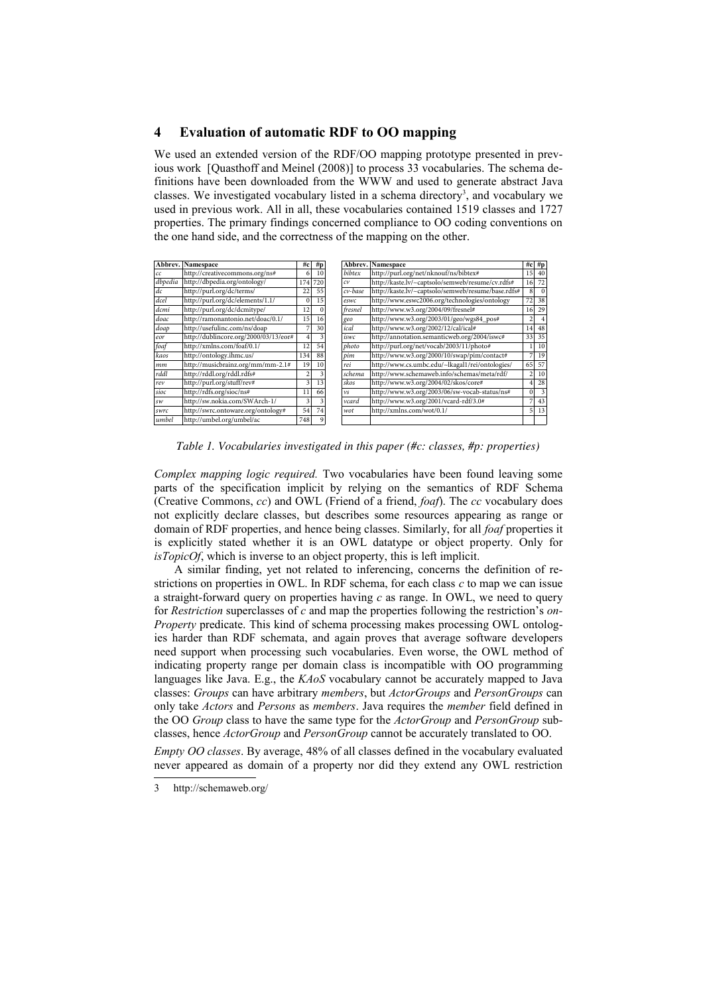# $\overline{\mathbf{4}}$ **Evaluation of automatic RDF to OO mapping**

We used an extended version of the RDF/OO mapping prototype presented in previous work [Quasthoff and Meinel (2008)] to process 33 vocabularies. The schema definitions have been downloaded from the WWW and used to generate abstract Java classes. We investigated vocabulary listed in a schema directory<sup>3</sup>, and vocabulary we used in previous work. All in all, these vocabularies contained 1519 classes and 1727 properties. The primary findings concerned compliance to OO coding conventions on the one hand side, and the correctness of the mapping on the other.

|             | <b>Abbrev.</b> Namespace              | #c             | #p       | Abbrev. | Namespace                                          |                 | $#c$ #p    |
|-------------|---------------------------------------|----------------|----------|---------|----------------------------------------------------|-----------------|------------|
| cc          | http://creativecommons.org/ns#        | 6              | 10       | bibtex  | http://purl.org/net/nknouf/ns/bibtex#              | 15 <sup>1</sup> | 40         |
| dbpedia     | http://dbpedia.org/ontology/          | 174            | 720      | c v     | http://kaste.lv/~captsolo/semweb/resume/cv.rdfs#   | 16 <sup>1</sup> | 72         |
| $d\epsilon$ | http://purl.org/dc/terms/             | 22             | 55       | cv-base | http://kaste.lv/~captsolo/semweb/resume/base.rdfs# | 8               | $\sqrt{ }$ |
| dcel        | http://purl.org/dc/elements/1.1/      | $\Omega$       | 15       | eswc    | http://www.eswc2006.org/technologies/ontology      | 72              | 38         |
| dcmi        | http://purl.org/dc/dcmitype/          | 12             | $\Omega$ | fresnel | http://www.w3.org/2004/09/fresnel#                 | 16              | 29         |
| doac        | http://ramonantonio.net/doac/0.1/     | 15             | 16       | geo     | http://www.w3.org/2003/01/geo/wgs84_pos#           | 2               |            |
| doap        | http://usefulinc.com/ns/doap          |                | 30       | ical    | http://www.w3.org/2002/12/cal/ical#                | 4               | 48         |
| eor         | http://dublincore.org/2000/03/13/eor# | 4              | 3        | iswc    | http://annotation.semanticweb.org/2004/iswc#       | 33              | 35         |
| foaf        | http://xmlns.com/foaf/0.1/            | 12             | 54       | photo   | http://purl.org/net/vocab/2003/11/photo#           |                 | 10         |
| kaos        | http://ontology.ihmc.us/              | 134            | 88       | pim     | http://www.w3.org/2000/10/swap/pim/contact#        |                 | 19         |
| mm          | http://musicbrainz.org/mm/mm-2.1#     | 19             | 10       | rei     | http://www.cs.umbc.edu/~lkagal1/rei/ontologies/    | 65              | 57         |
| rddl        | http://rddl.org/rddl.rdfs#            | $\overline{2}$ | 3        | schema  | http://www.schemaweb.info/schemas/meta/rdf/        | $\overline{2}$  | 10         |
| rev         | http://purl.org/stuff/rev#            | 3              | 13       | skos    | http://www.w3.org/2004/02/skos/core#               |                 | 28         |
| sioc        | http://rdfs.org/sioc/ns#              | 11             | 66       | vs      | http://www.w3.org/2003/06/sw-vocab-status/ns#      | $\Omega$        |            |
| sw          | http://sw.nokia.com/SWArch-1/         | 3              | 3        | vcard   | http://www.w3.org/2001/vcard-rdf/3.0#              |                 | 43         |
| swrc        | http://swrc.ontoware.org/ontology#    | 54             | 74       | wot     | http://xmlns.com/wot/0.1/                          | $\overline{5}$  | 13         |
| umbel       | http://umbel.org/umbel/ac             | 748            | 9        |         |                                                    |                 |            |

Table 1. Vocabularies investigated in this paper (#c: classes, #p: properties)

Complex mapping logic required. Two vocabularies have been found leaving some parts of the specification implicit by relying on the semantics of RDF Schema (Creative Commons, cc) and OWL (Friend of a friend, foaf). The cc vocabulary does not explicitly declare classes, but describes some resources appearing as range or domain of RDF properties, and hence being classes. Similarly, for all *foaf* properties it is explicitly stated whether it is an OWL datatype or object property. Only for  $isTopicOf$ , which is inverse to an object property, this is left implicit.

A similar finding, yet not related to inferencing, concerns the definition of restrictions on properties in OWL. In RDF schema, for each class  $c$  to map we can issue a straight-forward query on properties having  $c$  as range. In OWL, we need to query for Restriction superclasses of c and map the properties following the restriction's on-Property predicate. This kind of schema processing makes processing OWL ontologies harder than RDF schemata, and again proves that average software developers need support when processing such vocabularies. Even worse, the OWL method of indicating property range per domain class is incompatible with OO programming languages like Java. E.g., the  $KAOS$  vocabulary cannot be accurately mapped to Java classes: Groups can have arbitrary members, but ActorGroups and PersonGroups can only take *Actors* and *Persons* as *members*. Java requires the *member* field defined in the OO *Group* class to have the same type for the *ActorGroup* and *PersonGroup* subclasses, hence *ActorGroup* and *PersonGroup* cannot be accurately translated to OO.

*Empty OO classes.* By average, 48% of all classes defined in the vocabulary evaluated never appeared as domain of a property nor did they extend any OWL restriction

<span id="page-4-0"></span><sup>3</sup> http://schemaweb.org/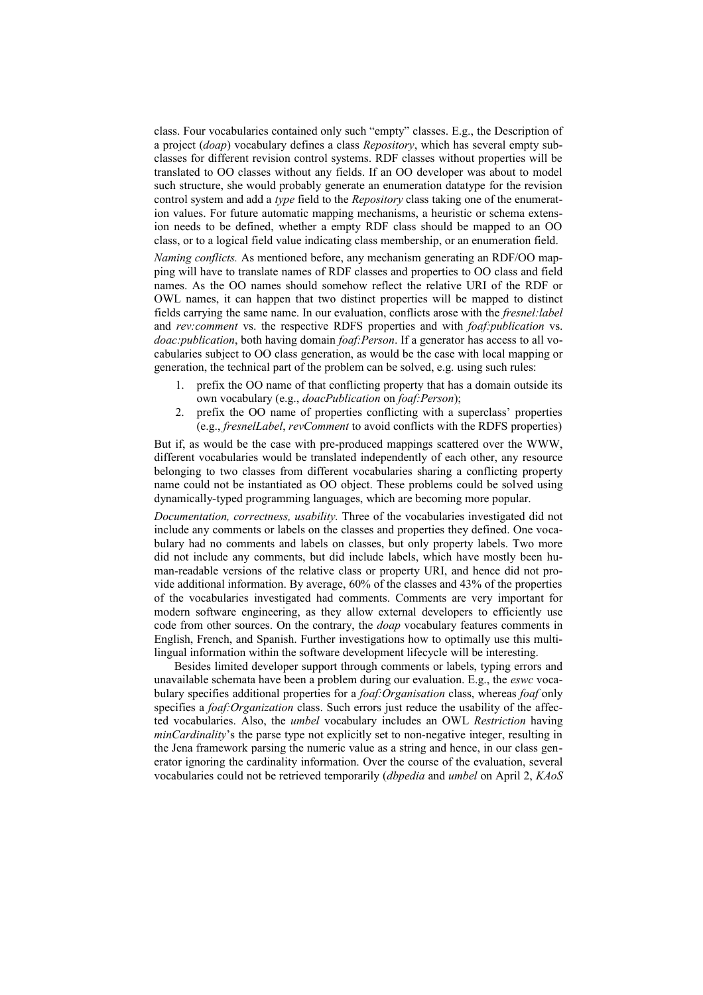class. Four vocabularies contained only such "empty" classes. E.g., the Description of a project *(doap)* vocabulary defines a class *Repository*, which has several empty subclasses for different revision control systems. RDF classes without properties will be translated to OO classes without any fields. If an OO developer was about to model such structure, she would probably generate an enumeration datatype for the revision control system and add a type field to the *Repository* class taking one of the enumeration values. For future automatic mapping mechanisms, a heuristic or schema extension needs to be defined, whether a empty RDF class should be mapped to an OO class, or to a logical field value indicating class membership, or an enumeration field.

Naming conflicts. As mentioned before, any mechanism generating an RDF/OO mapping will have to translate names of RDF classes and properties to OO class and field names. As the OO names should somehow reflect the relative URI of the RDF or OWL names, it can happen that two distinct properties will be mapped to distinct fields carrying the same name. In our evaluation, conflicts arose with the *fresnel: label* and rev:comment vs. the respective RDFS properties and with *foaf:publication* vs. doac: publication, both having domain foaf: Person. If a generator has access to all vocabularies subject to OO class generation, as would be the case with local mapping or generation, the technical part of the problem can be solved, e.g. using such rules:

- prefix the OO name of that conflicting property that has a domain outside its  $1<sup>1</sup>$ own vocabulary (e.g., *doacPublication* on *foaf:Person*):
- 2. prefix the OO name of properties conflicting with a superclass' properties (e.g., *fresnelLabel, revComment* to avoid conflicts with the RDFS properties)

But if, as would be the case with pre-produced mappings scattered over the WWW, different vocabularies would be translated independently of each other, any resource belonging to two classes from different vocabularies sharing a conflicting property name could not be instantiated as OO object. These problems could be solved using dynamically-typed programming languages, which are becoming more popular.

Documentation, correctness, usability. Three of the vocabularies investigated did not include any comments or labels on the classes and properties they defined. One vocabulary had no comments and labels on classes, but only property labels. Two more did not include any comments, but did include labels, which have mostly been human-readable versions of the relative class or property URI, and hence did not provide additional information. By average, 60% of the classes and 43% of the properties of the vocabularies investigated had comments. Comments are very important for modern software engineering, as they allow external developers to efficiently use code from other sources. On the contrary, the *doap* vocabulary features comments in English, French, and Spanish. Further investigations how to optimally use this multilingual information within the software development lifecycle will be interesting.

Besides limited developer support through comments or labels, typing errors and unavailable schemata have been a problem during our evaluation. E.g., the eswc yocabulary specifies additional properties for a *foaf:Organisation* class, whereas *foaf* only specifies a *foaf:Organization* class. Such errors just reduce the usability of the affected vocabularies. Also, the *umbel* vocabulary includes an OWL Restriction having *minCardinality's* the parse type not explicitly set to non-negative integer, resulting in the Jena framework parsing the numeric value as a string and hence, in our class generator ignoring the cardinality information. Over the course of the evaluation, several vocabularies could not be retrieved temporarily (*dbpedia* and *umbel* on April 2, *KAoS*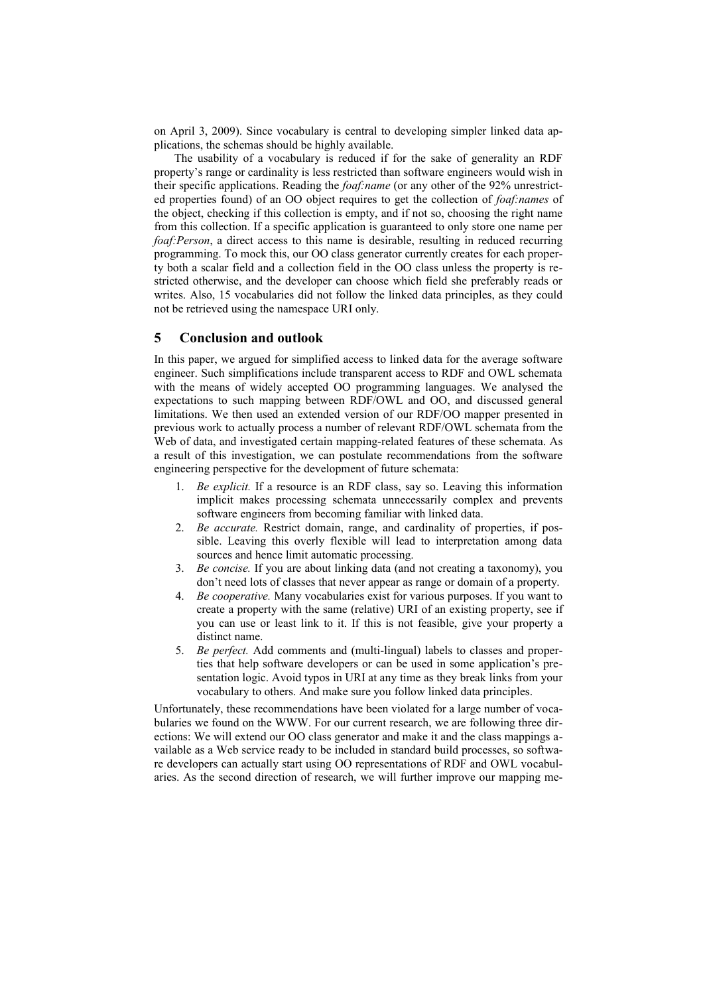on April 3, 2009). Since vocabulary is central to developing simpler linked data applications, the schemas should be highly available.

The usability of a vocabulary is reduced if for the sake of generality an RDF property's range or cardinality is less restricted than software engineers would wish in their specific applications. Reading the *foaf:name* (or any other of the 92% unrestricted properties found) of an OO object requires to get the collection of *foaf:names* of the object, checking if this collection is empty, and if not so, choosing the right name from this collection. If a specific application is guaranteed to only store one name per foaf: Person, a direct access to this name is desirable, resulting in reduced recurring programming. To mock this, our OO class generator currently creates for each property both a scalar field and a collection field in the OO class unless the property is restricted otherwise, and the developer can choose which field she preferably reads or writes. Also, 15 vocabularies did not follow the linked data principles, as they could not be retrieved using the namespace URI only.

### 5 **Conclusion and outlook**

In this paper, we argued for simplified access to linked data for the average software engineer. Such simplifications include transparent access to RDF and OWL schemata with the means of widely accepted OO programming languages. We analysed the expectations to such mapping between RDF/OWL and OO, and discussed general limitations. We then used an extended version of our RDF/OO mapper presented in previous work to actually process a number of relevant RDF/OWL schemata from the Web of data, and investigated certain mapping-related features of these schemata. As a result of this investigation, we can postulate recommendations from the software engineering perspective for the development of future schemata:

- 1. Be explicit. If a resource is an RDF class, say so. Leaving this information implicit makes processing schemata unnecessarily complex and prevents software engineers from becoming familiar with linked data.
- 2. Be accurate. Restrict domain, range, and cardinality of properties, if possible. Leaving this overly flexible will lead to interpretation among data sources and hence limit automatic processing.
- 3. Be concise. If you are about linking data (and not creating a taxonomy), you don't need lots of classes that never appear as range or domain of a property.
- 4. Be cooperative. Many vocabularies exist for various purposes. If you want to create a property with the same (relative) URI of an existing property, see if you can use or least link to it. If this is not feasible, give your property a distinct name.
- $5.$ Be perfect. Add comments and (multi-lingual) labels to classes and properties that help software developers or can be used in some application's presentation logic. Avoid typos in URI at any time as they break links from your vocabulary to others. And make sure you follow linked data principles.

Unfortunately, these recommendations have been violated for a large number of vocabularies we found on the WWW. For our current research, we are following three directions: We will extend our OO class generator and make it and the class mappings available as a Web service ready to be included in standard build processes, so software developers can actually start using OO representations of RDF and OWL vocabularies. As the second direction of research, we will further improve our mapping me-